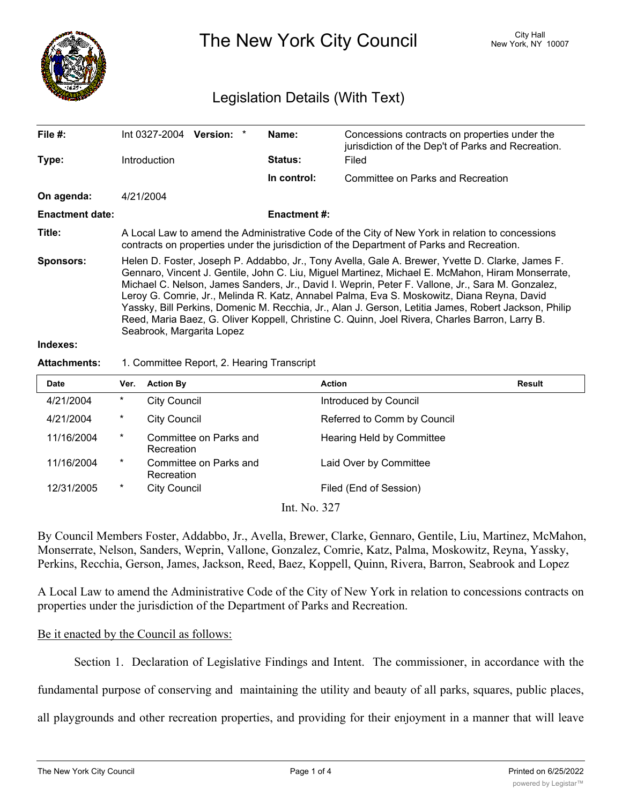

The New York City Council New York, NY 10007

# Legislation Details (With Text)

| File $#$ :             | $Int 0327-2004$ Version: *                                                                                                                                                                                                                                                                                                                                                                                                                                                                                                                                                                                                                    |  |  | Name:          | Concessions contracts on properties under the<br>jurisdiction of the Dep't of Parks and Recreation. |  |
|------------------------|-----------------------------------------------------------------------------------------------------------------------------------------------------------------------------------------------------------------------------------------------------------------------------------------------------------------------------------------------------------------------------------------------------------------------------------------------------------------------------------------------------------------------------------------------------------------------------------------------------------------------------------------------|--|--|----------------|-----------------------------------------------------------------------------------------------------|--|
| Type:                  | <b>Introduction</b>                                                                                                                                                                                                                                                                                                                                                                                                                                                                                                                                                                                                                           |  |  | <b>Status:</b> | Filed                                                                                               |  |
|                        |                                                                                                                                                                                                                                                                                                                                                                                                                                                                                                                                                                                                                                               |  |  | In control:    | Committee on Parks and Recreation                                                                   |  |
| On agenda:             | 4/21/2004                                                                                                                                                                                                                                                                                                                                                                                                                                                                                                                                                                                                                                     |  |  |                |                                                                                                     |  |
| <b>Enactment date:</b> | <b>Enactment #:</b>                                                                                                                                                                                                                                                                                                                                                                                                                                                                                                                                                                                                                           |  |  |                |                                                                                                     |  |
| Title:                 | A Local Law to amend the Administrative Code of the City of New York in relation to concessions<br>contracts on properties under the jurisdiction of the Department of Parks and Recreation.                                                                                                                                                                                                                                                                                                                                                                                                                                                  |  |  |                |                                                                                                     |  |
| <b>Sponsors:</b>       | Helen D. Foster, Joseph P. Addabbo, Jr., Tony Avella, Gale A. Brewer, Yvette D. Clarke, James F.<br>Gennaro, Vincent J. Gentile, John C. Liu, Miguel Martinez, Michael E. McMahon, Hiram Monserrate,<br>Michael C. Nelson, James Sanders, Jr., David I. Weprin, Peter F. Vallone, Jr., Sara M. Gonzalez,<br>Leroy G. Comrie, Jr., Melinda R. Katz, Annabel Palma, Eva S. Moskowitz, Diana Reyna, David<br>Yassky, Bill Perkins, Domenic M. Recchia, Jr., Alan J. Gerson, Letitia James, Robert Jackson, Philip<br>Reed, Maria Baez, G. Oliver Koppell, Christine C. Quinn, Joel Rivera, Charles Barron, Larry B.<br>Seabrook, Margarita Lopez |  |  |                |                                                                                                     |  |
| والمتموم والمتمران     |                                                                                                                                                                                                                                                                                                                                                                                                                                                                                                                                                                                                                                               |  |  |                |                                                                                                     |  |

#### **Indexes:**

#### **Attachments:** 1. Committee Report, 2. Hearing Transcript

| <b>Date</b> | Ver.   | <b>Action By</b>                     | <b>Action</b>               | Result |
|-------------|--------|--------------------------------------|-----------------------------|--------|
| 4/21/2004   | $\ast$ | <b>City Council</b>                  | Introduced by Council       |        |
| 4/21/2004   | $\ast$ | <b>City Council</b>                  | Referred to Comm by Council |        |
| 11/16/2004  | $\ast$ | Committee on Parks and<br>Recreation | Hearing Held by Committee   |        |
| 11/16/2004  | $\ast$ | Committee on Parks and<br>Recreation | Laid Over by Committee      |        |
| 12/31/2005  | $\ast$ | City Council                         | Filed (End of Session)      |        |
|             |        |                                      | $T \rightarrow M$ $227$     |        |

Int. No. 327

By Council Members Foster, Addabbo, Jr., Avella, Brewer, Clarke, Gennaro, Gentile, Liu, Martinez, McMahon, Monserrate, Nelson, Sanders, Weprin, Vallone, Gonzalez, Comrie, Katz, Palma, Moskowitz, Reyna, Yassky, Perkins, Recchia, Gerson, James, Jackson, Reed, Baez, Koppell, Quinn, Rivera, Barron, Seabrook and Lopez

A Local Law to amend the Administrative Code of the City of New York in relation to concessions contracts on properties under the jurisdiction of the Department of Parks and Recreation.

## Be it enacted by the Council as follows:

Section 1. Declaration of Legislative Findings and Intent. The commissioner, in accordance with the

fundamental purpose of conserving and maintaining the utility and beauty of all parks, squares, public places,

all playgrounds and other recreation properties, and providing for their enjoyment in a manner that will leave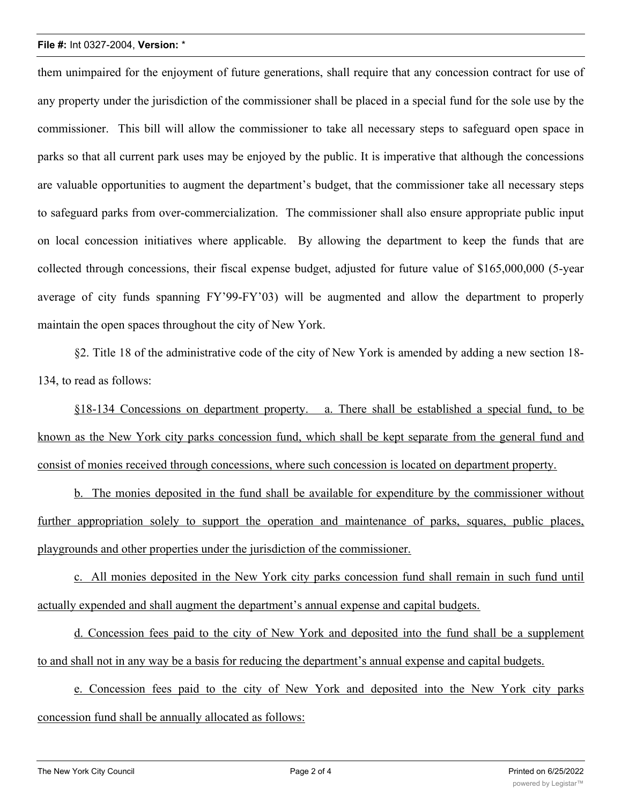### **File #:** Int 0327-2004, **Version:** \*

them unimpaired for the enjoyment of future generations, shall require that any concession contract for use of any property under the jurisdiction of the commissioner shall be placed in a special fund for the sole use by the commissioner. This bill will allow the commissioner to take all necessary steps to safeguard open space in parks so that all current park uses may be enjoyed by the public. It is imperative that although the concessions are valuable opportunities to augment the department's budget, that the commissioner take all necessary steps to safeguard parks from over-commercialization. The commissioner shall also ensure appropriate public input on local concession initiatives where applicable. By allowing the department to keep the funds that are collected through concessions, their fiscal expense budget, adjusted for future value of \$165,000,000 (5-year average of city funds spanning FY'99-FY'03) will be augmented and allow the department to properly maintain the open spaces throughout the city of New York.

§2. Title 18 of the administrative code of the city of New York is amended by adding a new section 18- 134, to read as follows:

§18-134 Concessions on department property. a. There shall be established a special fund, to be known as the New York city parks concession fund, which shall be kept separate from the general fund and consist of monies received through concessions, where such concession is located on department property.

b. The monies deposited in the fund shall be available for expenditure by the commissioner without further appropriation solely to support the operation and maintenance of parks, squares, public places, playgrounds and other properties under the jurisdiction of the commissioner.

c. All monies deposited in the New York city parks concession fund shall remain in such fund until actually expended and shall augment the department's annual expense and capital budgets.

d. Concession fees paid to the city of New York and deposited into the fund shall be a supplement to and shall not in any way be a basis for reducing the department's annual expense and capital budgets.

e. Concession fees paid to the city of New York and deposited into the New York city parks concession fund shall be annually allocated as follows: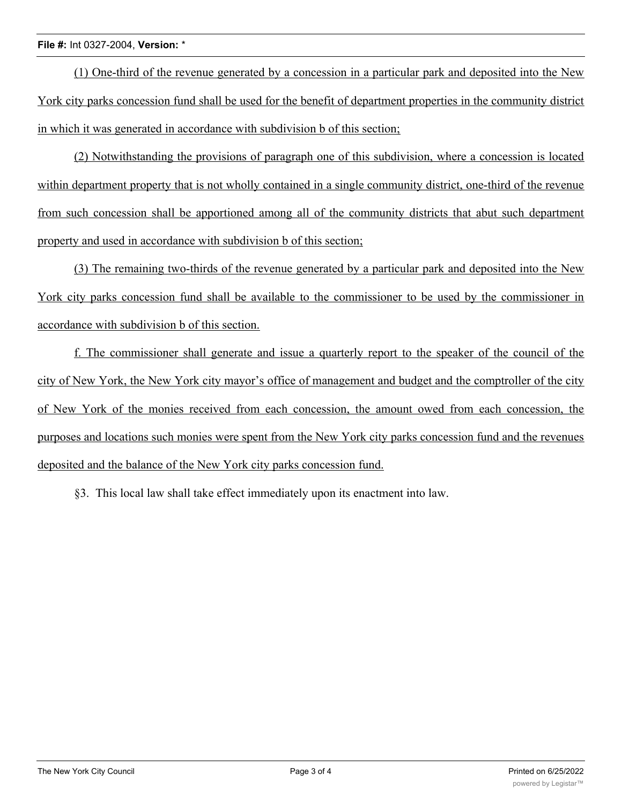# **File #:** Int 0327-2004, **Version:** \*

(1) One-third of the revenue generated by a concession in a particular park and deposited into the New York city parks concession fund shall be used for the benefit of department properties in the community district in which it was generated in accordance with subdivision b of this section;

(2) Notwithstanding the provisions of paragraph one of this subdivision, where a concession is located within department property that is not wholly contained in a single community district, one-third of the revenue from such concession shall be apportioned among all of the community districts that abut such department property and used in accordance with subdivision b of this section;

(3) The remaining two-thirds of the revenue generated by a particular park and deposited into the New York city parks concession fund shall be available to the commissioner to be used by the commissioner in accordance with subdivision b of this section.

f. The commissioner shall generate and issue a quarterly report to the speaker of the council of the city of New York, the New York city mayor's office of management and budget and the comptroller of the city of New York of the monies received from each concession, the amount owed from each concession, the purposes and locations such monies were spent from the New York city parks concession fund and the revenues deposited and the balance of the New York city parks concession fund.

§3. This local law shall take effect immediately upon its enactment into law.